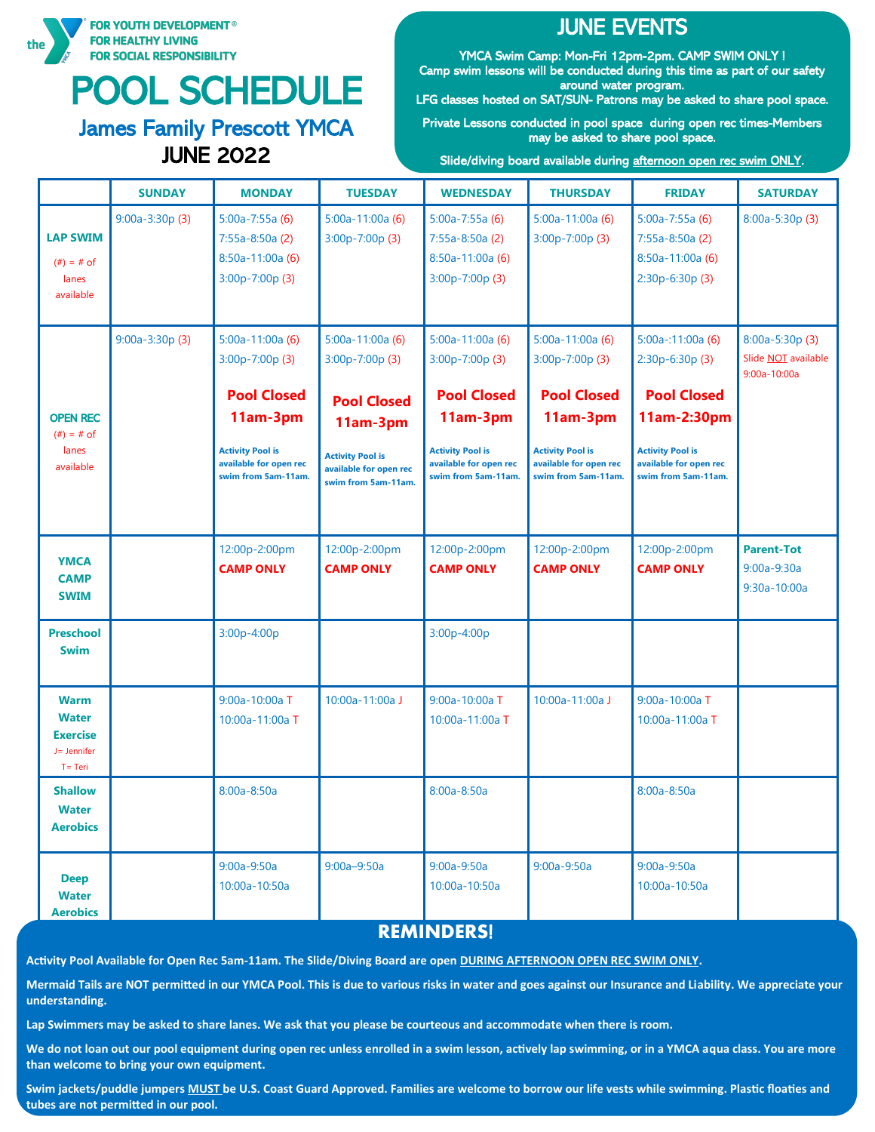

# POOL SCHEDULE

# James Family Prescott YMCA JUNE 2022

# **JUNE EVENTS**

YMCA Swim Camp: Mon-Fri 12pm-2pm. CAMP SWIM ONLY ! Camp swim lessons will be conducted during this time as part of our safety around water program.

LFG classes hosted on SAT/SUN- Patrons may be asked to share pool space.

Private Lessons conducted in pool space during open rec times-Members may be asked to share pool space.

Slide/diving board available during afternoon open rec swim ONLY.

|                                                                             | <b>SUNDAY</b>    | <b>MONDAY</b>                                                                                                                                      | <b>TUESDAY</b>                                                                                                                                     | <b>WEDNESDAY</b>                                                                                                                                   | <b>THURSDAY</b>                                                                                                                                    | <b>FRIDAY</b>                                                                                                                                         | <b>SATURDAY</b>                                                   |
|-----------------------------------------------------------------------------|------------------|----------------------------------------------------------------------------------------------------------------------------------------------------|----------------------------------------------------------------------------------------------------------------------------------------------------|----------------------------------------------------------------------------------------------------------------------------------------------------|----------------------------------------------------------------------------------------------------------------------------------------------------|-------------------------------------------------------------------------------------------------------------------------------------------------------|-------------------------------------------------------------------|
| <b>LAP SWIM</b><br>$#) = # of$<br>lanes<br>available                        | $9:00a-3:30p(3)$ | $5:00a-7:55a(6)$<br>$7:55a-8:50a(2)$<br>$8:50a-11:00a(6)$<br>$3:00p-7:00p(3)$                                                                      | $5:00a-11:00a(6)$<br>3:00p-7:00p (3)                                                                                                               | $5:00a-7:55a(6)$<br>$7:55a-8:50a(2)$<br>8:50a-11:00a (6)<br>$3:00p-7:00p(3)$                                                                       | $5:00a-11:00a(6)$<br>$3:00p-7:00p(3)$                                                                                                              | $5:00a-7:55a(6)$<br>$7:55a-8:50a(2)$<br>$8:50a-11:00a(6)$<br>2:30p-6:30p (3)                                                                          | $8:00a-5:30p(3)$                                                  |
| <b>OPEN REC</b><br>$#) = # of$<br>lanes<br>available                        | $9:00a-3:30p(3)$ | $5:00a-11:00a(6)$<br>3:00p-7:00p (3)<br><b>Pool Closed</b><br>11am-3pm<br><b>Activity Pool is</b><br>available for open rec<br>swim from 5am-11am. | $5:00a-11:00a(6)$<br>3:00p-7:00p (3)<br><b>Pool Closed</b><br>11am-3pm<br><b>Activity Pool is</b><br>available for open rec<br>swim from 5am-11am. | $5:00a-11:00a(6)$<br>3:00p-7:00p (3)<br><b>Pool Closed</b><br>11am-3pm<br><b>Activity Pool is</b><br>available for open rec<br>swim from 5am-11am. | $5:00a-11:00a(6)$<br>3:00p-7:00p (3)<br><b>Pool Closed</b><br>11am-3pm<br><b>Activity Pool is</b><br>available for open rec<br>swim from 5am-11am. | $5:00a-11:00a(6)$<br>2:30p-6:30p (3)<br><b>Pool Closed</b><br>11am-2:30pm<br><b>Activity Pool is</b><br>available for open rec<br>swim from 5am-11am. | 8:00a-5:30p (3)<br>Slide <b>NOT</b> available<br>$9:00a - 10:00a$ |
| <b>YMCA</b><br><b>CAMP</b><br><b>SWIM</b>                                   |                  | 12:00p-2:00pm<br><b>CAMP ONLY</b>                                                                                                                  | 12:00p-2:00pm<br><b>CAMP ONLY</b>                                                                                                                  | 12:00p-2:00pm<br><b>CAMP ONLY</b>                                                                                                                  | 12:00p-2:00pm<br><b>CAMP ONLY</b>                                                                                                                  | 12:00p-2:00pm<br><b>CAMP ONLY</b>                                                                                                                     | <b>Parent-Tot</b><br>$9:00a-9:30a$<br>9:30a-10:00a                |
| <b>Preschool</b><br><b>Swim</b>                                             |                  | 3:00p-4:00p                                                                                                                                        |                                                                                                                                                    | 3:00p-4:00p                                                                                                                                        |                                                                                                                                                    |                                                                                                                                                       |                                                                   |
| <b>Warm</b><br><b>Water</b><br><b>Exercise</b><br>J= Jennifer<br>$T = Teri$ |                  | 9:00a-10:00a T<br>10:00a-11:00a T                                                                                                                  | 10:00a-11:00a J                                                                                                                                    | 9:00a-10:00a T<br>10:00a-11:00a T                                                                                                                  | 10:00a-11:00a J                                                                                                                                    | 9:00a-10:00a T<br>10:00a-11:00a T                                                                                                                     |                                                                   |
| <b>Shallow</b><br><b>Water</b><br><b>Aerobics</b>                           |                  | 8:00a-8:50a                                                                                                                                        |                                                                                                                                                    | $8:00a-8:50a$                                                                                                                                      |                                                                                                                                                    | 8:00a-8:50a                                                                                                                                           |                                                                   |
| <b>Deep</b><br><b>Water</b><br><b>Aerobics</b>                              |                  | $9:00a-9:50a$<br>10:00a-10:50a                                                                                                                     | $9:00a - 9:50a$                                                                                                                                    | $9:00a-9:50a$<br>10:00a-10:50a                                                                                                                     | $9:00a-9:50a$                                                                                                                                      | $9:00a-9:50a$<br>10:00a-10:50a                                                                                                                        |                                                                   |

#### **REMINDERS**!

**Activity Pool Available for Open Rec 5am-11am. The Slide/Diving Board are open DURING AFTERNOON OPEN REC SWIM ONLY.** 

**Mermaid Tails are NOT permitted in our YMCA Pool. This is due to various risks in water and goes against our Insurance and Liability. We appreciate your understanding.**

**Lap Swimmers may be asked to share lanes. We ask that you please be courteous and accommodate when there is room.** 

**We do not loan out our pool equipment during open rec unless enrolled in a swim lesson, actively lap swimming, or in a YMCA aqua class. You are more than welcome to bring your own equipment.** 

**Swim jackets/puddle jumpers MUST be U.S. Coast Guard Approved. Families are welcome to borrow our life vests while swimming. Plastic floaties and tubes are not permitted in our pool.**